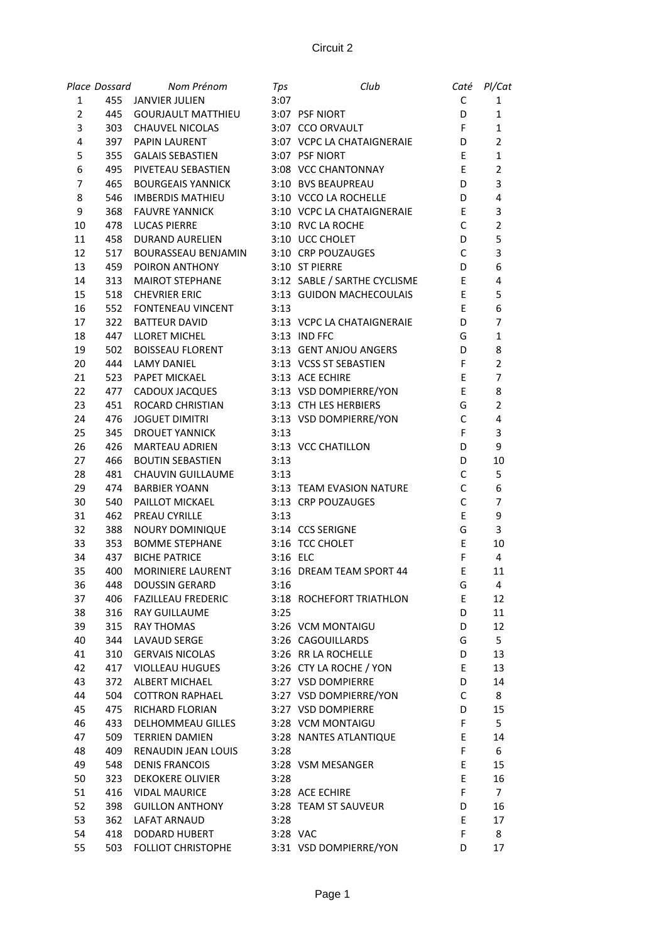|                | Place Dossard | Nom Prénom                | Tps      | Club                         | Caté        | Pl/Cat         |
|----------------|---------------|---------------------------|----------|------------------------------|-------------|----------------|
| 1              |               | 455 JANVIER JULIEN        | 3:07     |                              | C           | 1              |
| $\overline{2}$ | 445           | <b>GOURJAULT MATTHIEU</b> |          | 3:07 PSF NIORT               | D           | $\mathbf{1}$   |
| 3              | 303           | <b>CHAUVEL NICOLAS</b>    |          | 3:07 CCO ORVAULT             | F           | $\mathbf{1}$   |
| 4              | 397           | <b>PAPIN LAURENT</b>      |          | 3:07 VCPC LA CHATAIGNERAIE   | D           | $\overline{2}$ |
| 5              | 355           | <b>GALAIS SEBASTIEN</b>   |          | 3:07 PSF NIORT               | E           | $\mathbf{1}$   |
| 6              | 495           | PIVETEAU SEBASTIEN        |          | 3:08 VCC CHANTONNAY          | E           | $\overline{2}$ |
| 7              | 465           | <b>BOURGEAIS YANNICK</b>  |          | 3:10 BVS BEAUPREAU           | D           | 3              |
| 8              | 546           | <b>IMBERDIS MATHIEU</b>   |          | 3:10 VCCO LA ROCHELLE        | D           | 4              |
| 9              | 368           | <b>FAUVRE YANNICK</b>     |          | 3:10 VCPC LA CHATAIGNERAIE   | E           | 3              |
| 10             | 478           | <b>LUCAS PIERRE</b>       |          | 3:10 RVC LA ROCHE            | $\mathsf C$ | $\overline{2}$ |
| 11             | 458           | <b>DURAND AURELIEN</b>    |          | 3:10 UCC CHOLET              | D           | 5              |
| 12             | 517           | BOURASSEAU BENJAMIN       |          | 3:10 CRP POUZAUGES           | $\mathsf C$ | 3              |
| 13             | 459           | POIRON ANTHONY            |          | 3:10 ST PIERRE               | D           | 6              |
| 14             | 313           | <b>MAIROT STEPHANE</b>    |          | 3:12 SABLE / SARTHE CYCLISME | E           | 4              |
| 15             | 518           | <b>CHEVRIER ERIC</b>      |          | 3:13 GUIDON MACHECOULAIS     | E           | 5              |
| 16             | 552           | FONTENEAU VINCENT         | 3:13     |                              | E           | 6              |
| 17             | 322           | <b>BATTEUR DAVID</b>      |          | 3:13 VCPC LA CHATAIGNERAIE   | D           | 7              |
| 18             | 447           | <b>LLORET MICHEL</b>      |          | 3:13 IND FFC                 | G           | $\mathbf{1}$   |
| 19             | 502           | <b>BOISSEAU FLORENT</b>   |          | 3:13 GENT ANJOU ANGERS       | D           | 8              |
| 20             | 444           | <b>LAMY DANIEL</b>        |          | 3:13 VCSS ST SEBASTIEN       | F           | $\overline{2}$ |
| 21             | 523           | PAPET MICKAEL             |          | 3:13 ACE ECHIRE              | E           | 7              |
| 22             | 477           | CADOUX JACQUES            |          | 3:13 VSD DOMPIERRE/YON       | E           | 8              |
| 23             | 451           | ROCARD CHRISTIAN          |          | 3:13 CTH LES HERBIERS        | G           | $\overline{2}$ |
| 24             | 476           | <b>JOGUET DIMITRI</b>     |          | 3:13 VSD DOMPIERRE/YON       | $\mathsf C$ | 4              |
| 25             | 345           | <b>DROUET YANNICK</b>     | 3:13     |                              | F           | 3              |
| 26             | 426           | <b>MARTEAU ADRIEN</b>     |          | 3:13 VCC CHATILLON           | D           | 9              |
| 27             | 466           | <b>BOUTIN SEBASTIEN</b>   | 3:13     |                              | D           | 10             |
| 28             | 481           | CHAUVIN GUILLAUME         | 3:13     |                              | $\mathsf C$ | 5              |
| 29             | 474           | <b>BARBIER YOANN</b>      |          | 3:13 TEAM EVASION NATURE     | $\mathsf C$ | 6              |
| 30             | 540           | PAILLOT MICKAEL           |          | 3:13 CRP POUZAUGES           | $\mathsf C$ | $\overline{7}$ |
| 31             | 462           | PREAU CYRILLE             | 3:13     |                              | E           | 9              |
| 32             | 388           | NOURY DOMINIQUE           |          | 3:14 CCS SERIGNE             | G           | 3              |
| 33             | 353           | <b>BOMME STEPHANE</b>     |          | 3:16 TCC CHOLET              | E           | 10             |
| 34             | 437           | <b>BICHE PATRICE</b>      | 3:16 ELC |                              | F           | 4              |
| 35             | 400           | MORINIERE LAURENT         |          | 3:16 DREAM TEAM SPORT 44     | E           | 11             |
|                |               |                           |          |                              |             |                |
| 36             | 448           | <b>DOUSSIN GERARD</b>     | 3:16     |                              | G           | 4              |
| 37             | 406           | <b>FAZILLEAU FREDERIC</b> |          | 3:18 ROCHEFORT TRIATHLON     | Ε           | 12             |
| 38             | 316           | <b>RAY GUILLAUME</b>      | 3:25     |                              | D           | 11             |
| 39             | 315           | <b>RAY THOMAS</b>         |          | 3:26 VCM MONTAIGU            | D           | 12             |
| 40             | 344           | LAVAUD SERGE              |          | 3:26 CAGOUILLARDS            | G           | 5              |
| 41             | 310           | <b>GERVAIS NICOLAS</b>    |          | 3:26 RR LA ROCHELLE          | D           | 13             |
| 42             | 417           | <b>VIOLLEAU HUGUES</b>    |          | 3:26 CTY LA ROCHE / YON      | E           | 13             |
| 43             | 372           | ALBERT MICHAEL            |          | 3:27 VSD DOMPIERRE           | D           | 14             |
| 44             | 504           | <b>COTTRON RAPHAEL</b>    |          | 3:27 VSD DOMPIERRE/YON       | $\mathsf C$ | 8              |
| 45             | 475           | <b>RICHARD FLORIAN</b>    |          | 3:27 VSD DOMPIERRE           | D           | 15             |
| 46             | 433           | DELHOMMEAU GILLES         |          | 3:28 VCM MONTAIGU            | F           | 5              |
| 47             | 509           | <b>TERRIEN DAMIEN</b>     |          | 3:28 NANTES ATLANTIQUE       | Е           | 14             |
| 48             | 409           | RENAUDIN JEAN LOUIS       | 3:28     |                              | F           | 6              |
| 49             | 548           | <b>DENIS FRANCOIS</b>     |          | 3:28 VSM MESANGER            | E           | 15             |
| 50             | 323           | <b>DEKOKERE OLIVIER</b>   | 3:28     |                              | E           | 16             |
| 51             | 416           | <b>VIDAL MAURICE</b>      |          | 3:28 ACE ECHIRE              | F           | $\overline{7}$ |
| 52             | 398           | <b>GUILLON ANTHONY</b>    |          | 3:28 TEAM ST SAUVEUR         | D           | 16             |
| 53             | 362           | LAFAT ARNAUD              | 3:28     |                              | Ε           | 17             |
| 54             | 418           | DODARD HUBERT             | 3:28 VAC |                              | F           | 8              |
| 55             | 503           | FOLLIOT CHRISTOPHE        |          | 3:31 VSD DOMPIERRE/YON       | D           | 17             |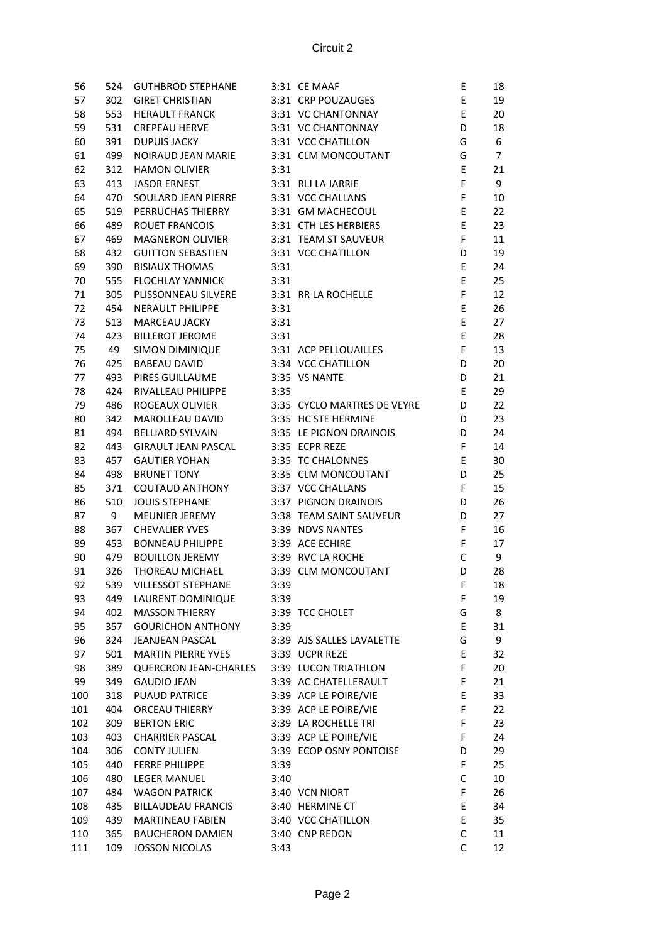| 56  | 524 | <b>GUTHBROD STEPHANE</b>     |      | 3:31 CE MAAF                | Ε           | 18             |
|-----|-----|------------------------------|------|-----------------------------|-------------|----------------|
| 57  | 302 | <b>GIRET CHRISTIAN</b>       |      | 3:31 CRP POUZAUGES          | E           | 19             |
|     |     |                              |      | 3:31 VC CHANTONNAY          | E           |                |
| 58  | 553 | <b>HERAULT FRANCK</b>        |      |                             |             | 20             |
| 59  | 531 | <b>CREPEAU HERVE</b>         |      | 3:31 VC CHANTONNAY          | D           | 18             |
| 60  | 391 | <b>DUPUIS JACKY</b>          |      | 3:31 VCC CHATILLON          | G           | 6              |
| 61  | 499 | NOIRAUD JEAN MARIE           |      | 3:31 CLM MONCOUTANT         | G           | $\overline{7}$ |
| 62  | 312 | <b>HAMON OLIVIER</b>         | 3:31 |                             | Ε           | 21             |
| 63  | 413 | <b>JASOR ERNEST</b>          |      | 3:31 RLJ LA JARRIE          | F           | 9              |
| 64  | 470 | SOULARD JEAN PIERRE          |      | 3:31 VCC CHALLANS           | F           | 10             |
| 65  | 519 | PERRUCHAS THIERRY            |      | 3:31 GM MACHECOUL           | Ε           | 22             |
| 66  | 489 | <b>ROUET FRANCOIS</b>        |      | 3:31 CTH LES HERBIERS       | E           | 23             |
| 67  | 469 | MAGNERON OLIVIER             |      | 3:31 TEAM ST SAUVEUR        | F           | 11             |
| 68  | 432 | <b>GUITTON SEBASTIEN</b>     |      | 3:31 VCC CHATILLON          | D           | 19             |
| 69  | 390 | <b>BISIAUX THOMAS</b>        | 3:31 |                             | E           | 24             |
| 70  | 555 | <b>FLOCHLAY YANNICK</b>      | 3:31 |                             | E           | 25             |
| 71  | 305 | PLISSONNEAU SILVERE          |      | 3:31 RR LA ROCHELLE         | F           | 12             |
| 72  | 454 | <b>NERAULT PHILIPPE</b>      | 3:31 |                             | E           | 26             |
| 73  | 513 | MARCEAU JACKY                | 3:31 |                             | E           | 27             |
| 74  | 423 | BILLEROT JEROME              | 3:31 |                             | E           | 28             |
| 75  | 49  | SIMON DIMINIQUE              |      | 3:31 ACP PELLOUAILLES       | F           | 13             |
| 76  | 425 | <b>BABEAU DAVID</b>          |      | 3:34 VCC CHATILLON          | D           | 20             |
| 77  | 493 | PIRES GUILLAUME              |      | 3:35 VS NANTE               | D           | 21             |
| 78  | 424 | RIVALLEAU PHILIPPE           | 3:35 |                             | Ε           | 29             |
|     |     |                              |      |                             | D           |                |
| 79  | 486 | ROGEAUX OLIVIER              |      | 3:35 CYCLO MARTRES DE VEYRE |             | 22             |
| 80  | 342 | MAROLLEAU DAVID              |      | 3:35 HC STE HERMINE         | D           | 23             |
| 81  | 494 | <b>BELLIARD SYLVAIN</b>      |      | 3:35 LE PIGNON DRAINOIS     | D           | 24             |
| 82  | 443 | <b>GIRAULT JEAN PASCAL</b>   |      | 3:35 ECPR REZE              | F           | 14             |
| 83  | 457 | <b>GAUTIER YOHAN</b>         |      | 3:35 TC CHALONNES           | E           | 30             |
| 84  | 498 | <b>BRUNET TONY</b>           |      | 3:35 CLM MONCOUTANT         | D           | 25             |
| 85  | 371 | <b>COUTAUD ANTHONY</b>       |      | 3:37 VCC CHALLANS           | F           | 15             |
| 86  | 510 | <b>JOUIS STEPHANE</b>        |      | 3:37 PIGNON DRAINOIS        | D           | 26             |
| 87  | 9   | MEUNIER JEREMY               |      | 3:38 TEAM SAINT SAUVEUR     | D           | 27             |
| 88  | 367 | <b>CHEVALIER YVES</b>        |      | 3:39 NDVS NANTES            | F           | 16             |
| 89  | 453 | BONNEAU PHILIPPE             |      | 3:39 ACE ECHIRE             | F           | 17             |
| 90  | 479 | <b>BOUILLON JEREMY</b>       |      | 3:39 RVC LA ROCHE           | $\mathsf C$ | 9              |
| 91  | 326 | THOREAU MICHAEL              |      | 3:39 CLM MONCOUTANT         | D           | 28             |
| 92  | 539 | <b>VILLESSOT STEPHANE</b>    | 3:39 |                             | F           | 18             |
| 93  | 449 | LAURENT DOMINIQUE            | 3:39 |                             | F           | 19             |
| 94  | 402 | <b>MASSON THIERRY</b>        |      | 3:39 TCC CHOLET             | G           | 8              |
| 95  | 357 | <b>GOURICHON ANTHONY</b>     | 3:39 |                             | Е           | 31             |
| 96  | 324 | JEANJEAN PASCAL              |      | 3:39 AJS SALLES LAVALETTE   | G           | 9              |
| 97  | 501 | <b>MARTIN PIERRE YVES</b>    |      | 3:39 UCPR REZE              | E           | 32             |
| 98  | 389 | <b>QUERCRON JEAN-CHARLES</b> |      | 3:39 LUCON TRIATHLON        | F           | 20             |
| 99  | 349 | <b>GAUDIO JEAN</b>           |      | 3:39 AC CHATELLERAULT       | F           | 21             |
| 100 | 318 | <b>PUAUD PATRICE</b>         |      | 3:39 ACP LE POIRE/VIE       | E           | 33             |
| 101 | 404 | <b>ORCEAU THIERRY</b>        |      | 3:39 ACP LE POIRE/VIE       | F           |                |
|     |     |                              |      |                             | F           | 22             |
| 102 | 309 | <b>BERTON ERIC</b>           |      | 3:39 LA ROCHELLE TRI        |             | 23             |
| 103 | 403 | <b>CHARRIER PASCAL</b>       |      | 3:39 ACP LE POIRE/VIE       | F           | 24             |
| 104 | 306 | <b>CONTY JULIEN</b>          |      | 3:39 ECOP OSNY PONTOISE     | D           | 29             |
| 105 | 440 | <b>FERRE PHILIPPE</b>        | 3:39 |                             | F           | 25             |
| 106 | 480 | <b>LEGER MANUEL</b>          | 3:40 |                             | С           | 10             |
| 107 | 484 | <b>WAGON PATRICK</b>         |      | 3:40 VCN NIORT              | F           | 26             |
| 108 | 435 | <b>BILLAUDEAU FRANCIS</b>    |      | 3:40 HERMINE CT             | Ε           | 34             |
| 109 | 439 | <b>MARTINEAU FABIEN</b>      |      | 3:40 VCC CHATILLON          | Ε           | 35             |
| 110 | 365 | <b>BAUCHERON DAMIEN</b>      |      | 3:40 CNP REDON              | $\mathsf C$ | 11             |
| 111 | 109 | <b>JOSSON NICOLAS</b>        | 3:43 |                             | C           | 12             |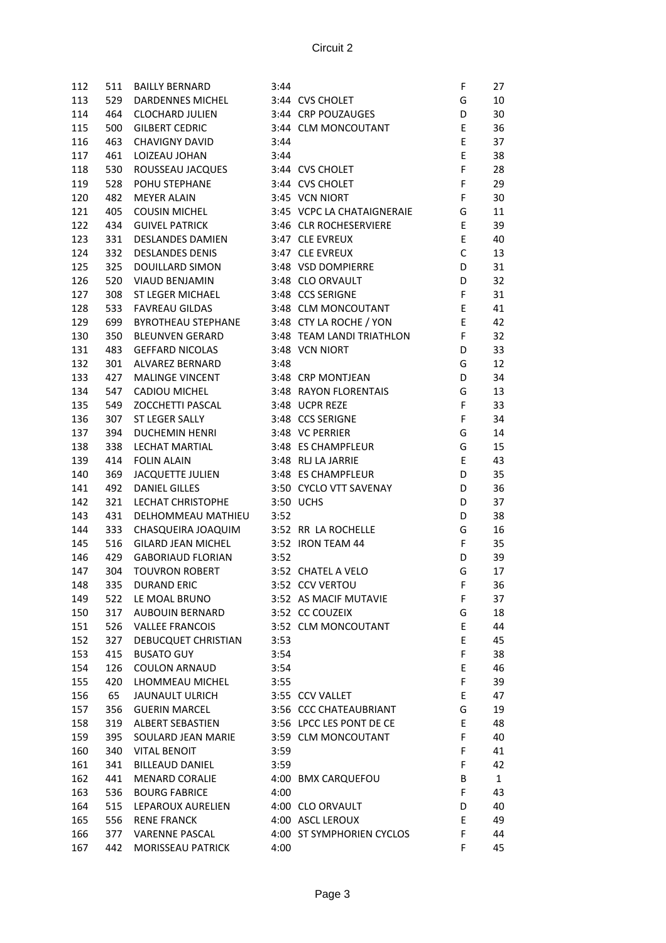| 112 | 511 | <b>BAILLY BERNARD</b>                      | 3:44 |                            | F           | 27           |
|-----|-----|--------------------------------------------|------|----------------------------|-------------|--------------|
| 113 | 529 | DARDENNES MICHEL                           |      | 3:44 CVS CHOLET            | G           | 10           |
| 114 | 464 | <b>CLOCHARD JULIEN</b>                     |      | 3:44 CRP POUZAUGES         | D           | 30           |
| 115 | 500 | <b>GILBERT CEDRIC</b>                      |      | 3:44 CLM MONCOUTANT        | E           | 36           |
| 116 | 463 | CHAVIGNY DAVID                             | 3:44 |                            | E           | 37           |
| 117 | 461 | LOIZEAU JOHAN                              | 3:44 |                            | E           | 38           |
| 118 | 530 | ROUSSEAU JACQUES                           |      | 3:44 CVS CHOLET            | F           | 28           |
| 119 | 528 | POHU STEPHANE                              |      | 3:44 CVS CHOLET            | F           | 29           |
| 120 | 482 | <b>MEYER ALAIN</b>                         |      | 3:45 VCN NIORT             | F           | 30           |
|     |     |                                            |      |                            |             |              |
| 121 | 405 | <b>COUSIN MICHEL</b>                       |      | 3:45 VCPC LA CHATAIGNERAIE | G           | 11           |
| 122 | 434 | <b>GUIVEL PATRICK</b>                      |      | 3:46 CLR ROCHESERVIERE     | Ε           | 39           |
| 123 | 331 | <b>DESLANDES DAMIEN</b>                    |      | 3:47 CLE EVREUX            | E           | 40           |
| 124 | 332 | <b>DESLANDES DENIS</b>                     |      | 3:47 CLE EVREUX            | $\mathsf C$ | 13           |
| 125 | 325 | DOUILLARD SIMON                            |      | 3:48 VSD DOMPIERRE         | D           | 31           |
| 126 | 520 | VIAUD BENJAMIN                             |      | 3:48 CLO ORVAULT           | D           | 32           |
| 127 | 308 | ST LEGER MICHAEL                           |      | 3:48 CCS SERIGNE           | F           | 31           |
| 128 | 533 | <b>FAVREAU GILDAS</b>                      |      | 3:48 CLM MONCOUTANT        | E           | 41           |
| 129 | 699 | BYROTHEAU STEPHANE 3:48 CTY LA ROCHE / YON |      |                            | E           | 42           |
| 130 | 350 | <b>BLEUNVEN GERARD</b>                     |      | 3:48 TEAM LANDI TRIATHLON  | F           | 32           |
| 131 | 483 | <b>GEFFARD NICOLAS</b>                     |      | 3:48 VCN NIORT             | D           | 33           |
| 132 | 301 | ALVAREZ BERNARD                            | 3:48 |                            | G           | 12           |
| 133 | 427 | <b>MALINGE VINCENT</b>                     |      | 3:48 CRP MONTJEAN          | D           | 34           |
| 134 | 547 | CADIOU MICHEL                              |      | 3:48 RAYON FLORENTAIS      | G           | 13           |
| 135 | 549 | ZOCCHETTI PASCAL                           |      | 3:48 UCPR REZE             | F           | 33           |
| 136 | 307 | ST LEGER SALLY                             |      | 3:48 CCS SERIGNE           | F           | 34           |
| 137 | 394 | <b>DUCHEMIN HENRI</b>                      |      | 3:48 VC PERRIER            | G           | 14           |
| 138 | 338 | LECHAT MARTIAL                             |      | 3:48 ES CHAMPFLEUR         | G           | 15           |
| 139 | 414 | <b>FOLIN ALAIN</b>                         |      | 3:48 RLJ LA JARRIE         | E           | 43           |
| 140 | 369 | JACQUETTE JULIEN                           |      | 3:48 ES CHAMPFLEUR         | D           | 35           |
| 141 | 492 | <b>DANIEL GILLES</b>                       |      | 3:50 CYCLO VTT SAVENAY     | D           | 36           |
| 142 | 321 | LECHAT CHRISTOPHE                          |      | 3:50 UCHS                  | D           | 37           |
| 143 | 431 | DELHOMMEAU MATHIEU                         | 3:52 |                            | D           | 38           |
| 144 | 333 | CHASQUEIRA JOAQUIM                         |      | 3:52 RR LA ROCHELLE        | G           | 16           |
|     | 516 | <b>GILARD JEAN MICHEL</b>                  |      | 3:52 IRON TEAM 44          | F           | 35           |
| 145 |     | <b>GABORIAUD FLORIAN</b>                   |      |                            | D           |              |
| 146 | 429 |                                            | 3:52 |                            |             | 39           |
| 147 | 304 | <b>TOUVRON ROBERT</b>                      |      | 3:52 CHATEL A VELO         | G           | 17           |
| 148 | 335 | <b>DURAND ERIC</b>                         |      | 3:52 CCV VERTOU            | F           | 36           |
| 149 | 522 | LE MOAL BRUNO                              |      | 3:52 AS MACIF MUTAVIE      | F           | 37           |
| 150 | 317 | AUBOUIN BERNARD                            |      | 3:52 CC COUZEIX            | G           | 18           |
| 151 | 526 | <b>VALLEE FRANCOIS</b>                     |      | 3:52 CLM MONCOUTANT        | Ε           | 44           |
| 152 | 327 | DEBUCQUET CHRISTIAN                        | 3:53 |                            | Ε           | 45           |
| 153 | 415 | <b>BUSATO GUY</b>                          | 3:54 |                            | F           | 38           |
| 154 | 126 | <b>COULON ARNAUD</b>                       | 3:54 |                            | Е           | 46           |
| 155 | 420 | LHOMMEAU MICHEL                            | 3:55 |                            | F           | 39           |
| 156 | 65  | <b>JAUNAULT ULRICH</b>                     |      | 3:55 CCV VALLET            | E           | 47           |
| 157 | 356 | <b>GUERIN MARCEL</b>                       |      | 3:56 CCC CHATEAUBRIANT     | G           | 19           |
| 158 | 319 | <b>ALBERT SEBASTIEN</b>                    |      | 3:56 LPCC LES PONT DE CE   | E           | 48           |
| 159 | 395 | SOULARD JEAN MARIE                         |      | 3:59 CLM MONCOUTANT        | F           | 40           |
| 160 | 340 | <b>VITAL BENOIT</b>                        | 3:59 |                            | F           | 41           |
| 161 | 341 | <b>BILLEAUD DANIEL</b>                     | 3:59 |                            | F           | 42           |
| 162 | 441 | <b>MENARD CORALIE</b>                      |      | 4:00 BMX CARQUEFOU         | B           | $\mathbf{1}$ |
| 163 | 536 | <b>BOURG FABRICE</b>                       | 4:00 |                            | F           | 43           |
| 164 | 515 | LEPAROUX AURELIEN                          |      | 4:00 CLO ORVAULT           | D           | 40           |
| 165 | 556 | <b>RENE FRANCK</b>                         |      | 4:00 ASCL LEROUX           | Ε           | 49           |
| 166 | 377 | <b>VARENNE PASCAL</b>                      |      | 4:00 ST SYMPHORIEN CYCLOS  | F           | 44           |
| 167 | 442 | MORISSEAU PATRICK                          | 4:00 |                            | F           | 45           |
|     |     |                                            |      |                            |             |              |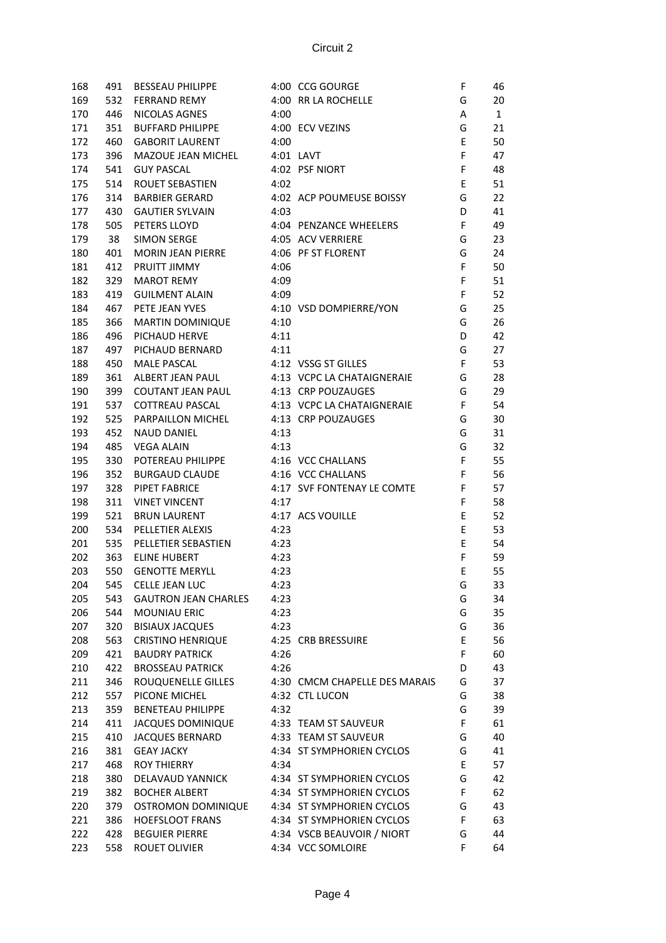| 168 | 491 | BESSEAU PHILIPPE                      |      | 4:00 CCG GOURGE                             | F           | 46           |
|-----|-----|---------------------------------------|------|---------------------------------------------|-------------|--------------|
| 169 | 532 | <b>FERRAND REMY</b>                   |      | 4:00 RR LA ROCHELLE                         | G           | 20           |
| 170 | 446 | NICOLAS AGNES                         | 4:00 |                                             | A           | $\mathbf{1}$ |
| 171 | 351 | <b>BUFFARD PHILIPPE</b>               |      | 4:00 ECV VEZINS                             | G           | 21           |
| 172 | 460 | GABORIT LAURENT                       | 4:00 |                                             | Ε           | 50           |
| 173 | 396 | MAZOUE JEAN MICHEL                    |      | 4:01 LAVT                                   | F           | 47           |
| 174 | 541 | <b>GUY PASCAL</b>                     |      | 4:02 PSF NIORT                              | F           | 48           |
| 175 | 514 | ROUET SEBASTIEN                       | 4:02 |                                             | E           | 51           |
| 176 | 314 | <b>BARBIER GERARD</b>                 |      | 4:02 ACP POUMEUSE BOISSY                    | G           | 22           |
| 177 | 430 | <b>GAUTIER SYLVAIN</b>                | 4:03 |                                             | D           | 41           |
| 178 | 505 | PETERS LLOYD                          |      | 4:04 PENZANCE WHEELERS                      | $\mathsf F$ | 49           |
| 179 | 38  | SIMON SERGE                           |      | 4:05 ACV VERRIERE                           | G           | 23           |
| 180 | 401 | MORIN JEAN PIERRE 4:06 PF ST FLORENT  |      |                                             | G           | 24           |
| 181 | 412 | PRUITT JIMMY                          | 4:06 |                                             | F           | 50           |
| 182 | 329 | <b>MAROT REMY</b>                     | 4:09 |                                             | F           | 51           |
| 183 | 419 | <b>GUILMENT ALAIN</b>                 | 4:09 |                                             | $\mathsf F$ | 52           |
|     |     |                                       |      |                                             |             |              |
| 184 | 467 | PETE JEAN YVES 4:10 VSD DOMPIERRE/YON |      |                                             | G           | 25           |
| 185 | 366 | <b>MARTIN DOMINIQUE</b>               | 4:10 |                                             | G           | 26           |
| 186 | 496 | PICHAUD HERVE                         | 4:11 |                                             | D           | 42           |
| 187 | 497 | PICHAUD BERNARD                       | 4:11 |                                             | G           | 27           |
| 188 | 450 | <b>MALE PASCAL</b>                    |      | 4:12 VSSG ST GILLES                         | F           | 53           |
| 189 | 361 |                                       |      | ALBERT JEAN PAUL 4:13 VCPC LA CHATAIGNERAIE | G           | 28           |
| 190 | 399 | <b>COUTANT JEAN PAUL</b>              |      | 4:13 CRP POUZAUGES                          | G           | 29           |
| 191 | 537 | <b>COTTREAU PASCAL</b>                |      | 4:13 VCPC LA CHATAIGNERAIE                  | $\mathsf F$ | 54           |
| 192 | 525 | PARPAILLON MICHEL                     |      | 4:13 CRP POUZAUGES                          | G           | 30           |
| 193 | 452 | <b>NAUD DANIEL</b>                    | 4:13 |                                             | G           | 31           |
| 194 | 485 | <b>VEGA ALAIN</b>                     | 4:13 |                                             | G           | 32           |
| 195 | 330 | POTEREAU PHILIPPE                     |      | 4:16 VCC CHALLANS                           | $\mathsf F$ | 55           |
| 196 | 352 | BURGAUD CLAUDE                        |      | 4:16 VCC CHALLANS                           | F           | 56           |
| 197 | 328 | PIPET FABRICE                         |      | 4:17 SVF FONTENAY LE COMTE                  | F           | 57           |
| 198 | 311 | <b>VINET VINCENT</b>                  | 4:17 |                                             | F           | 58           |
| 199 | 521 | <b>BRUN LAURENT</b>                   |      | 4:17 ACS VOUILLE                            | Е           | 52           |
| 200 | 534 | PELLETIER ALEXIS                      | 4:23 |                                             | E           | 53           |
| 201 | 535 | PELLETIER SEBASTIEN                   | 4:23 |                                             | E           | 54           |
| 202 | 363 | <b>ELINE HUBERT</b>                   | 4:23 |                                             | F           | 59           |
| 203 | 550 | <b>GENOTTE MERYLL</b>                 | 4:23 |                                             | Ε           | 55           |
| 204 | 545 | CELLE JEAN LUC                        | 4:23 |                                             | G           | 33           |
| 205 | 543 | <b>GAUTRON JEAN CHARLES</b>           | 4:23 |                                             | G           | 34           |
| 206 | 544 | <b>MOUNIAU ERIC</b>                   | 4:23 |                                             | G           | 35           |
|     |     | <b>BISIAUX JACQUES</b>                |      |                                             |             |              |
| 207 | 320 |                                       | 4:23 |                                             | G           | 36           |
| 208 | 563 | <b>CRISTINO HENRIQUE</b>              |      | 4:25 CRB BRESSUIRE                          | E           | 56           |
| 209 | 421 | <b>BAUDRY PATRICK</b>                 | 4:26 |                                             | F           | 60           |
| 210 | 422 | <b>BROSSEAU PATRICK</b>               | 4:26 |                                             | D           | 43           |
| 211 | 346 | ROUQUENELLE GILLES                    |      | 4:30 CMCM CHAPELLE DES MARAIS               | G           | 37           |
| 212 | 557 | PICONE MICHEL                         |      | 4:32 CTL LUCON                              | G           | 38           |
| 213 | 359 | <b>BENETEAU PHILIPPE</b>              | 4:32 |                                             | G           | 39           |
| 214 | 411 | <b>JACQUES DOMINIQUE</b>              |      | 4:33 TEAM ST SAUVEUR                        | F           | 61           |
| 215 | 410 | <b>JACQUES BERNARD</b>                |      | 4:33 TEAM ST SAUVEUR                        | G           | 40           |
| 216 | 381 | <b>GEAY JACKY</b>                     |      | 4:34 ST SYMPHORIEN CYCLOS                   | G           | 41           |
| 217 | 468 | <b>ROY THIERRY</b>                    | 4:34 |                                             | E           | 57           |
| 218 | 380 | DELAVAUD YANNICK                      |      | 4:34 ST SYMPHORIEN CYCLOS                   | G           | 42           |
| 219 | 382 | <b>BOCHER ALBERT</b>                  |      | 4:34 ST SYMPHORIEN CYCLOS                   | F           | 62           |
| 220 | 379 | <b>OSTROMON DOMINIQUE</b>             |      | 4:34 ST SYMPHORIEN CYCLOS                   | G           | 43           |
| 221 | 386 | <b>HOEFSLOOT FRANS</b>                |      | 4:34 ST SYMPHORIEN CYCLOS                   | F           | 63           |
| 222 | 428 | <b>BEGUIER PIERRE</b>                 |      | 4:34 VSCB BEAUVOIR / NIORT                  | G           | 44           |
| 223 | 558 | ROUET OLIVIER                         |      | 4:34 VCC SOMLOIRE                           | F           | 64           |